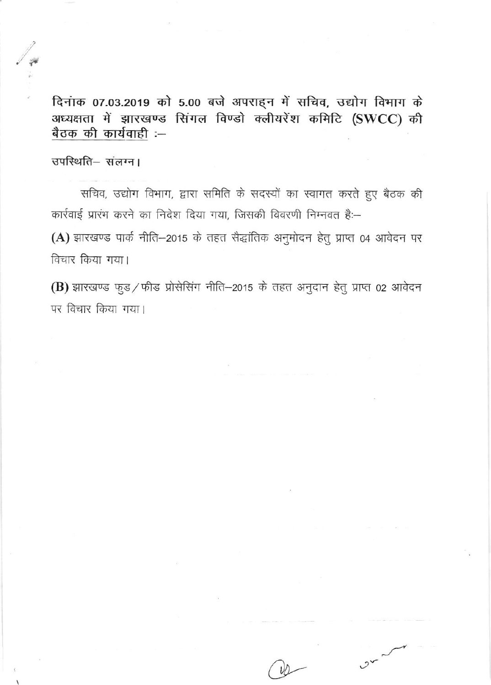दिनाक 07.03.2019 को 5.00 बजे अपराहन में सचिव, उद्योग विभाग के अध्यक्षता में झारखण्ड सिंगल विण्डो क्लीयरेंश कमिटि (SWCC) की बैठक की कार्यवाही :--

उपस्थिति-संलग्न।

सचिव, उद्योग विभाग, द्वारा समिति के सदस्यों का स्वागत करते हुए बैठक की कार्रवाई प्रारंभ करने का निदेश दिया गया, जिसकी विवरणी निम्नवत है:-

(A) झारखण्ड पार्क नीति-2015 के तहत सैद्धांतिक अनुमोदन हेतु प्राप्त 04 आवेदन पर विचार किया गया।

(B) झारखण्ड फुड/फीड प्रोसेसिंग नीति-2015 के तहत अनुदान हेतु प्राप्त 02 आवेदन पर विचार किया गया।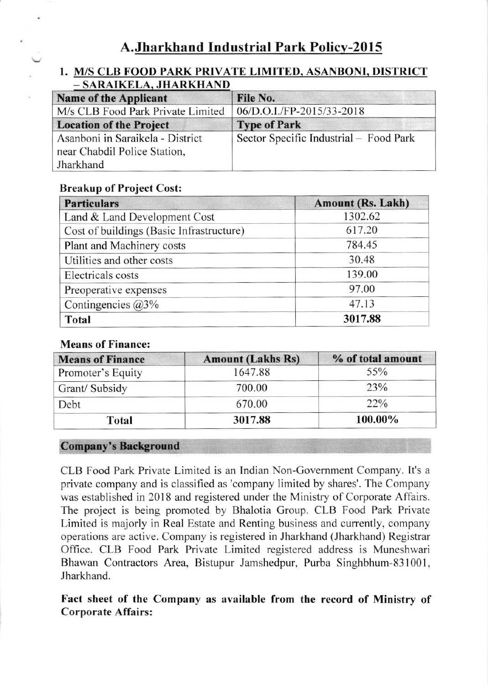## 1. M/S CLB FOOD PARK PRIVATE LIMITED, ASANBONI, DISTRICT - SARAIKELA, JHARKHAND

| <b>Name of the Applicant</b>                                     | File No.                               |
|------------------------------------------------------------------|----------------------------------------|
| M/s CLB Food Park Private Limited                                | 06/D.O.I./FP-2015/33-2018              |
| <b>Location of the Project</b>                                   | <b>Type of Park</b>                    |
| Asanboni in Saraikela - District<br>near Chabdil Police Station, | Sector Specific Industrial – Food Park |
| Jharkhand                                                        |                                        |

## Breakup of Project Cost:

| <b>Particulars</b>                       | <b>Amount (Rs. Lakh)</b> |  |
|------------------------------------------|--------------------------|--|
| Land & Land Development Cost             | 1302.62                  |  |
| Cost of buildings (Basic Infrastructure) | 617.20                   |  |
| Plant and Machinery costs                | 784.45                   |  |
| Utilities and other costs                | 30.48                    |  |
| Electricals costs                        | 139.00                   |  |
| Preoperative expenses                    | 97.00                    |  |
| Contingencies $@3\%$                     | 47.13                    |  |
| <b>Total</b>                             | 3017.88                  |  |

### Means of Finance:

| <b>Means of Finance</b> | <b>Amount (Lakhs Rs)</b> | % of total amount |
|-------------------------|--------------------------|-------------------|
| Promoter's Equity       | 1647.88                  | 55%               |
| Grant/Subsidy           | 700.00                   | 23%               |
| Debt                    | 670.00                   | $22\%$            |
| <b>Total</b>            | 3017.88                  | 100.00%           |

### Company's Background

CLB Food Park Private Limited is an Indian Non-Govemment Company. lt's <sup>a</sup> private company and is classified as'company limited by shares'. The Company was established in 2018 and registered under the Ministry of Corporate Affairs. The project is being promoted by Bhalotia Group. CLB Food Park Private Limited is majorly in Real Estate and Renting business and currently, company operations are active. Company is registered in Jharkhand (Jharkhand) Registrar Office. CLB Food Park Private Limited registered address is Muneshwari Bhawan Contractors Area, Bistupur Jamshedpur, Purba Singhbhum-831001, Jharkhand.

Fact sheet of the Company as ayailable from the record of Ministry of Corporate Affairs: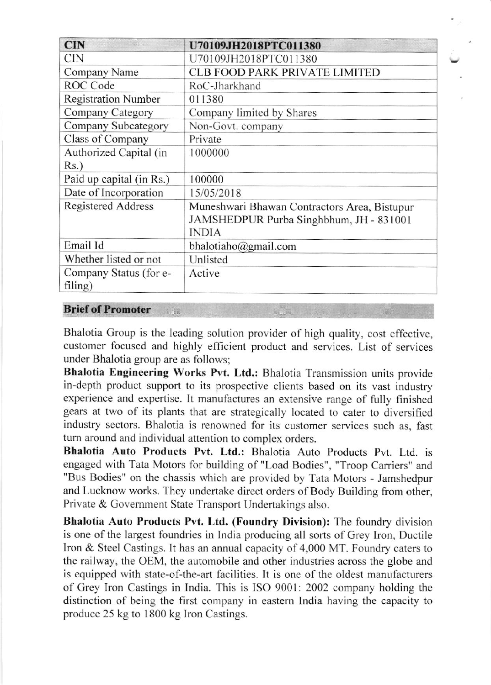| <b>CIN</b>                 | U70109JH2018PTC011380                        |
|----------------------------|----------------------------------------------|
| <b>CIN</b>                 | U70109JH2018PTC011380                        |
| Company Name               | <b>CLB FOOD PARK PRIVATE LIMITED</b>         |
| ROC Code                   | RoC-Jharkhand                                |
| <b>Registration Number</b> | 011380                                       |
| Company Category           | Company limited by Shares                    |
| Company Subcategory        | Non-Govt. company                            |
| Class of Company           | Private                                      |
| Authorized Capital (in     | 1000000                                      |
| $Rs.$ )                    |                                              |
| Paid up capital (in Rs.)   | 100000                                       |
| Date of Incorporation      | 15/05/2018                                   |
| <b>Registered Address</b>  | Muneshwari Bhawan Contractors Area, Bistupur |
|                            | JAMSHEDPUR Purba Singhbhum, JH - 831001      |
|                            | <b>INDIA</b>                                 |
| Email Id                   | bhalotiaho@gmail.com                         |
| Whether listed or not      | Unlisted                                     |
| Company Status (for e-     | Active                                       |
| filing)                    |                                              |

## **Brief of Promoter**

Bhalotia Group is the leading solution provider of high quality, cost effective, customer focused and highly efficient product and services. List of services under Bhalotia group are as follows:

Bhalotia Engineering Works Pvt. Ltd.: Bhalotia Transmission units provide in-depth product support to its prospective clients based on its vast industry experience and expertise. It manufactures an extensive range of fully finished gears at two of its plants that are strategically located to cater to diversified industry sectors. Bhalotia is renowned for its customer services such as, fast turn around and individual attention to complex orders.

Bhalotia Auto Products Pvt. Ltd.: Bhalotia Auto Products Pvt. Ltd. is engaged with Tata Motors for building of "Load Bodies", "Troop Carriers" and "Bus Bodies" on the chassis which are provided by Tata Motors - Jamshedpur and Lucknow works. They undertake direct orders of Body Building from other, Private & Government State Transport Undertakings also.

Bhalotia Auto Products Pvt. Ltd. (Foundry Division): The foundry division is one of the largest foundries in India producing all sorts of Grey Iron, Ductile Iron & Steel Castings. It has an annual capacity of 4,000 MT. Foundry caters to the railway, the OEM, the automobile and other industries across the globe and is equipped with state-of-the-art facilities. It is one of the oldest manufacturers of Grey Iron Castings in India. This is ISO 9001: 2002 company holding the distinction of being the first company in eastern India having the capacity to produce 25 kg to 1800 kg Iron Castings.